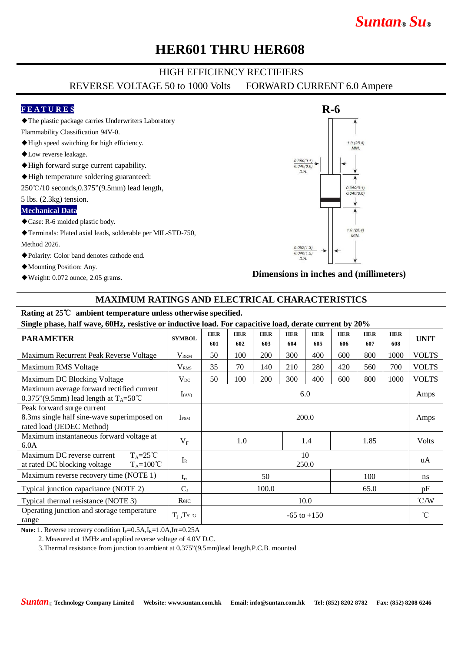# *Suntan***®** *Su***®**

# **HER601 THRU HER608**

### HIGH EFFICIENCY RECTIFIERS

REVERSE VOLTAGE 50 to 1000 Volts FORWARD CURRENT 6.0 Ampere

#### **F E A T U R E S**

◆The plastic package carries Underwriters Laboratory

- Flammability Classification 94V-0.
- ◆High speed switching for high efficiency.
- ◆Low reverse leakage.
- ◆High forward surge current capability.
- ◆High temperature soldering guaranteed:
- 250℃/10 seconds,0.375"(9.5mm) lead length,

5 lbs. (2.3kg) tension.

#### **Mechanical Data**

- ◆Case: R-6 molded plastic body.
- ◆Terminals: Plated axial leads, solderable per MIL-STD-750, Method 2026.
- ◆Polarity: Color band denotes cathode end.
- ◆Mounting Position: Any.
- ◆Weight: 0.072 ounce, 2.05 grams.



#### **Dimensions in inches and (millimeters)**

### **MAXIMUM RATINGS AND ELECTRICAL CHARACTERISTICS**

## **Rating at 25**℃ **ambient temperature unless otherwise specified.**

| Single phase, half wave, 60Hz, resistive or inductive load. For capacitive load, derate current by 20%    |                    |                   |                   |                   |                   |                   |                   |                   |                   |                 |
|-----------------------------------------------------------------------------------------------------------|--------------------|-------------------|-------------------|-------------------|-------------------|-------------------|-------------------|-------------------|-------------------|-----------------|
| <b>PARAMETER</b>                                                                                          | <b>SYMBOL</b>      | <b>HER</b><br>601 | <b>HER</b><br>602 | <b>HER</b><br>603 | <b>HER</b><br>604 | <b>HER</b><br>605 | <b>HER</b><br>606 | <b>HER</b><br>607 | <b>HER</b><br>608 | <b>UNIT</b>     |
| Maximum Recurrent Peak Reverse Voltage                                                                    | <b>VRRM</b>        | 50                | 100               | <b>200</b>        | 300               | 400               | 600               | 800               | 1000              | <b>VOLTS</b>    |
| Maximum RMS Voltage                                                                                       | V <sub>RMS</sub>   | 35                | 70                | 140               | 210               | 280               | 420               | 560               | 700               | <b>VOLTS</b>    |
| Maximum DC Blocking Voltage                                                                               | $V_{DC}$           | 50                | 100               | 200               | 300               | 400               | 600               | 800               | 1000              | <b>VOLTS</b>    |
| Maximum average forward rectified current<br>0.375"(9.5mm) lead length at $T_A = 50^{\circ}$ C            | $I_{(AV)}$         | 6.0               |                   |                   |                   |                   |                   |                   |                   | Amps            |
| Peak forward surge current<br>8.3ms single half sine-wave superimposed on<br>rated load (JEDEC Method)    | <b>IFSM</b>        | 200.0             |                   |                   |                   |                   |                   |                   |                   | Amps            |
| Maximum instantaneous forward voltage at<br>6.0A                                                          | $V_{\rm F}$        | 1.0               |                   |                   |                   | 1.4               |                   | 1.85              |                   | Volts           |
| $T_A = 25^{\circ}C$<br>Maximum DC reverse current<br>$T_A = 100^{\circ}C$<br>at rated DC blocking voltage | $I_{R}$            | 10<br>250.0       |                   |                   |                   |                   |                   |                   |                   | uA              |
| Maximum reverse recovery time (NOTE 1)                                                                    | $t_{rr}$           | 50<br>100         |                   |                   |                   |                   |                   | ns                |                   |                 |
| Typical junction capacitance (NOTE 2)                                                                     | $C_{J}$            | 100.0<br>65.0     |                   |                   |                   |                   |                   | pF                |                   |                 |
| Typical thermal resistance (NOTE 3)                                                                       | $R$ $\theta$ JC    | 10.0              |                   |                   |                   |                   |                   |                   |                   | $\degree$ C/W   |
| Operating junction and storage temperature<br>range                                                       | $T_{\rm J}$ , Tstg | $-65$ to $+150$   |                   |                   |                   |                   |                   |                   |                   | $\rm ^{\circ}C$ |

**Note:** 1. Reverse recovery condition  $I_F = 0.5A$ ,  $I_R = 1.0A$ ,  $Irr = 0.25A$ 

2. Measured at 1MHz and applied reverse voltage of 4.0V D.C.

3.Thermal resistance from junction to ambient at 0.375"(9.5mm)lead length,P.C.B. mounted